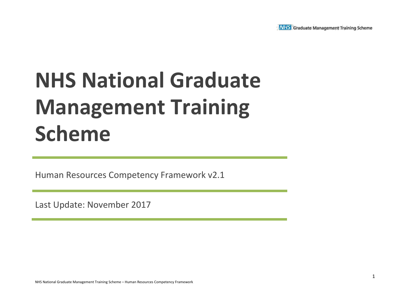

# **NHS National Graduate Management Training Scheme**

Human Resources Competency Framework v2.1

Last Update: November 2017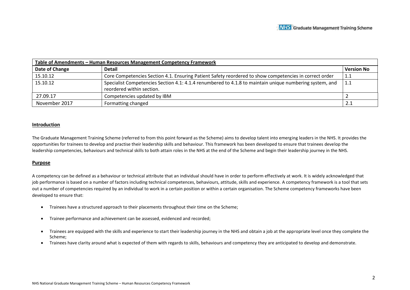| Table of Amendments - Human Resources Management Competency Framework |                                                                                                         |                   |  |  |  |  |
|-----------------------------------------------------------------------|---------------------------------------------------------------------------------------------------------|-------------------|--|--|--|--|
| Date of Change                                                        | <b>Detail</b>                                                                                           | <b>Version No</b> |  |  |  |  |
| 15.10.12                                                              | Core Competencies Section 4.1. Ensuring Patient Safety reordered to show competencies in correct order  | 1.1               |  |  |  |  |
| 15.10.12                                                              | Specialist Competencies Section 4.1: 4.1.4 renumbered to 4.1.8 to maintain unique numbering system, and | 1.1               |  |  |  |  |
|                                                                       | reordered within section.                                                                               |                   |  |  |  |  |
| 27.09.17                                                              | Competencies updated by IBM                                                                             |                   |  |  |  |  |
| November 2017                                                         | Formatting changed                                                                                      | 2.1               |  |  |  |  |

#### **Introduction**

The Graduate Management Training Scheme (referred to from this point forward as the Scheme) aims to develop talent into emerging leaders in the NHS. It provides the opportunities for trainees to develop and practise their leadership skills and behaviour. This framework has been developed to ensure that trainees develop the leadership competencies, behaviours and technical skills to both attain roles in the NHS at the end of the Scheme and begin their leadership journey in the NHS.

#### **Purpose**

A competency can be defined as a behaviour or technical attribute that an individual should have in order to perform effectively at work. It is widely acknowledged that job performance is based on a number of factors including technical competences, behaviours, attitude, skills and experience. A competency framework is a tool that sets out a number of competencies required by an individual to work in a certain position or within a certain organisation. The Scheme competency frameworks have been developed to ensure that:

- Trainees have a structured approach to their placements throughout their time on the Scheme;
- Trainee performance and achievement can be assessed, evidenced and recorded;
- Trainees are equipped with the skills and experience to start their leadership journey in the NHS and obtain a job at the appropriate level once they complete the Scheme;
- Trainees have clarity around what is expected of them with regards to skills, behaviours and competency they are anticipated to develop and demonstrate.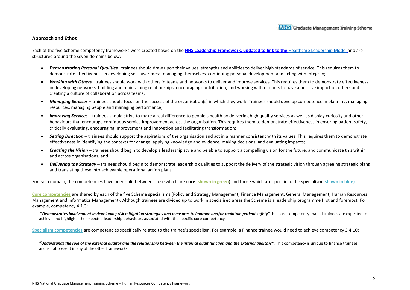#### **Approach and Ethos**

Each of the five Scheme competency frameworks were created based on the **NHS Leadership Framework, updated to link to the** [Healthcare Leadership Model](https://www.leadershipacademy.nhs.uk/resources/healthcare-leadership-model/) and are structured around the seven domains below:

- *Demonstrating Personal Qualities* trainees should draw upon their values, strengths and abilities to deliver high standards of service. This requires them to demonstrate effectiveness in developing self-awareness, managing themselves, continuing personal development and acting with integrity;
- *Working with Others* trainees should work with others in teams and networks to deliver and improve services. This requires them to demonstrate effectiveness in developing networks, building and maintaining relationships, encouraging contribution, and working within teams to have a positive impact on others and creating a culture of collaboration across teams;
- *Managing Services*  trainees should focus on the success of the organisation(s) in which they work. Trainees should develop competence in planning, managing resources, managing people and managing performance;
- *Improving Services*  trainees should strive to make a real difference to people's health by delivering high quality services as well as display curiosity and other behaviours that encourage continuous service improvement across the organisation. This requires them to demonstrate effectiveness in ensuring patient safety, critically evaluating, encouraging improvement and innovation and facilitating transformation;
- *Setting Direction*  trainees should support the aspirations of the organisation and act in a manner consistent with its values. This requires them to demonstrate effectiveness in identifying the contexts for change, applying knowledge and evidence, making decisions, and evaluating impacts;
- *Creating the Vision*  trainees should begin to develop a leadership style and be able to support a compelling vision for the future, and communicate this within and across organisations; and
- *Delivering the Strategy*  trainees should begin to demonstrate leadership qualities to support the delivery of the strategic vision through agreeing strategic plans and translating these into achievable operational action plans.

For each domain, the competencies have been split between those which are **core** (**shown in green**) and those which are specific to the **specialism** (**shown in blue**).

**Core competencies** are shared by each of the five Scheme specialisms (Policy and Strategy Management, Finance Management, General Management, Human Resources Management and Informatics Management). Although trainees are divided up to work in specialised areas the Scheme is a leadership programme first and foremost. For example, competency 4.1.3:

"*Demonstrates involvement in developing risk mitigation strategies and measures to improve and/or maintain patient safety*", is a core competency that all trainees are expected to achieve and highlights the expected leadership behaviours associated with the specific core competency.

**Specialism competencies** are competencies specifically related to the trainee's specialism. For example, a Finance trainee would need to achieve competency 3.4.10:

"Understands the role of the external auditor and the relationship between the internal audit function and the external auditors". This competency is unique to finance trainees and is not present in any of the other frameworks.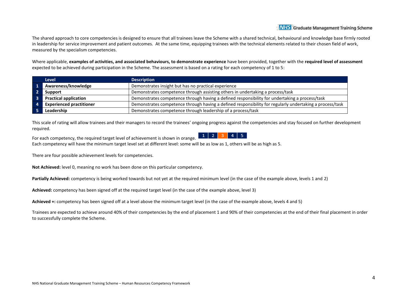The shared approach to core competencies is designed to ensure that all trainees leave the Scheme with a shared technical, behavioural and knowledge base firmly rooted in leadership for service improvement and patient outcomes. At the same time, equipping trainees with the technical elements related to their chosen field of work, measured by the specialism competencies.

Where applicable, **examples of activities, and associated behaviours, to demonstrate experience** have been provided, together with the **required level of assessment** expected to be achieved during participation in the Scheme. The assessment is based on a rating for each competency of 1 to 5:

| <b>Level</b>                    | <b>Description</b>                                                                                       |
|---------------------------------|----------------------------------------------------------------------------------------------------------|
| Awareness/knowledge             | Demonstrates insight but has no practical experience                                                     |
| Support                         | Demonstrates competence through assisting others in undertaking a process/task                           |
| <b>Practical application</b>    | Demonstrates competence through having a defined responsibility for undertaking a process/task           |
| <b>Experienced practitioner</b> | Demonstrates competence through having a defined responsibility for regularly undertaking a process/task |
| Leadership                      | Demonstrates competence through leadership of a process/task                                             |

This scale of rating will allow trainees and their managers to record the trainees' ongoing progress against the competencies and stay focused on further development required.

 $1$  | 2 | 3 | 4 | 5 For each competency, the required target level of achievement is shown in orange. Each competency will have the minimum target level set at different level: some will be as low as 1, others will be as high as 5.

There are four possible achievement levels for competencies.

**Not Achieved:** level 0, meaning no work has been done on this particular competency.

**Partially Achieved:** competency is being worked towards but not yet at the required minimum level (in the case of the example above, levels 1 and 2)

**Achieved:** competency has been signed off at the required target level (in the case of the example above, level 3)

**Achieved +:** competency has been signed off at a level above the minimum target level (in the case of the example above, levels 4 and 5)

Trainees are expected to achieve around 40% of their competencies by the end of placement 1 and 90% of their competencies at the end of their final placement in order to successfully complete the Scheme.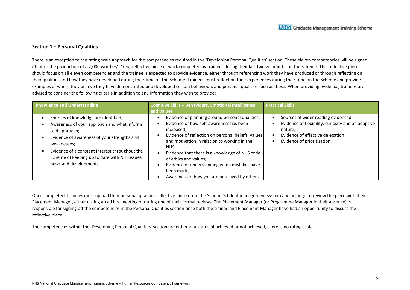#### **Section 1 – Personal Qualities**

There is an exception to the rating scale approach for the competencies required in the 'Developing Personal Qualities' section. These eleven competencies will be signed off after the production of a 2,000 word (+/- 10%) reflective piece of work completed by trainees during their last twelve months on the Scheme. This reflective piece should focus on all eleven competencies and the trainee is expected to provide evidence, either through referencing work they have produced or through reflecting on their qualities and how they have developed during their time on the Scheme. Trainees must reflect on their experiences during their time on the Scheme and provide examples of where they believe they have demonstrated and developed certain behaviours and personal qualities such as these. When providing evidence, trainees are advised to consider the following criteria in addition to any information they wish to provide:

| <b>Knowledge and Understanding</b>                                                                                                                                                                                                                                                               | Cognitive Skills - Behaviours, Emotional Intelligence<br>and Values                                                                                                                                                                                                                                                                                                                                              | <b>Practical Skills</b>                                                                                                                                                  |
|--------------------------------------------------------------------------------------------------------------------------------------------------------------------------------------------------------------------------------------------------------------------------------------------------|------------------------------------------------------------------------------------------------------------------------------------------------------------------------------------------------------------------------------------------------------------------------------------------------------------------------------------------------------------------------------------------------------------------|--------------------------------------------------------------------------------------------------------------------------------------------------------------------------|
| Sources of knowledge are identified;<br>Awareness of your approach and what informs<br>said approach;<br>Evidence of awareness of your strengths and<br>weaknesses;<br>Evidence of a constant interest throughout the<br>Scheme of keeping up to date with NHS issues,<br>news and developments. | Evidence of planning around personal qualities;<br>Evidence of how self-awareness has been<br>increased;<br>Evidence of reflection on personal beliefs, values<br>and motivation in relation to working in the<br>NHS:<br>Evidence that there is a knowledge of NHS code<br>of ethics and values;<br>Evidence of understanding when mistakes have<br>been made;<br>Awareness of how you are perceived by others. | Sources of wider reading evidenced;<br>Evidence of flexibility, curiosity and an adaptive<br>nature;<br>Evidence of effective delegation;<br>Evidence of prioritisation. |

Once completed, trainees must upload their personal qualities reflective piece on to the Scheme's talent management system and arrange to review the piece with their Placement Manager, either during an ad hoc meeting or during one of their formal reviews. The Placement Manager (or Programme Manager in their absence) is responsible for signing off the competencies in the Personal Qualities section once both the trainee and Placement Manager have had an opportunity to discuss the reflective piece.

The competencies within the 'Developing Personal Qualities' section are either at a status of achieved or not achieved, there is no rating scale.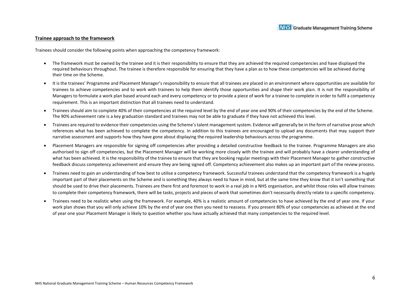#### **Trainee approach to the framework**

Trainees should consider the following points when approaching the competency framework:

- The framework must be owned by the trainee and it is their responsibility to ensure that they are achieved the required competencies and have displayed the required behaviours throughout. The trainee is therefore responsible for ensuring that they have a plan as to how these competencies will be achieved during their time on the Scheme.
- It is the trainees' Programme and Placement Manager's responsibility to ensure that all trainees are placed in an environment where opportunities are available for trainees to achieve competencies and to work with trainees to help them identify those opportunities and shape their work plan. It is not the responsibility of Managers to formulate a work plan based around each and every competency or to provide a piece of work for a trainee to complete in order to fulfil a competency requirement. This is an important distinction that all trainees need to understand.
- Trainees should aim to complete 40% of their competencies at the required level by the end of year one and 90% of their competencies by the end of the Scheme. The 90% achievement rate is a key graduation standard and trainees may not be able to graduate if they have not achieved this level.
- Trainees are required to evidence their competencies using the Scheme's talent management system. Evidence will generally be in the form of narrative prose which references what has been achieved to complete the competency. In addition to this trainees are encouraged to upload any documents that may support their narrative assessment and supports how they have gone about displaying the required leadership behaviours across the programme.
- Placement Managers are responsible for signing off competencies after providing a detailed constructive feedback to the trainee. Programme Managers are also authorised to sign off competencies, but the Placement Manager will be working more closely with the trainee and will probably have a clearer understanding of what has been achieved. It is the responsibility of the trainee to ensure that they are booking regular meetings with their Placement Manager to gather constructive feedback discuss competency achievement and ensure they are being signed off. Competency achievement also makes up an important part of the review process.
- Trainees need to gain an understanding of how best to utilise a competency framework. Successful trainees understand that the competency framework is a hugely important part of their placements on the Scheme and is something they always need to have in mind, but at the same time they know that it isn't something that should be used to drive their placements. Trainees are there first and foremost to work in a real job in a NHS organisation, and whilst those roles will allow trainees to complete their competency framework, there will be tasks, projects and pieces of work that sometimes don't necessarily directly relate to a specific competency.
- Trainees need to be realistic when using the framework. For example, 40% is a realistic amount of competencies to have achieved by the end of year one. If your work plan shows that you will only achieve 10% by the end of year one then you need to reassess. If you present 80% of your competencies as achieved at the end of year one your Placement Manager is likely to question whether you have actually achieved that many competencies to the required level.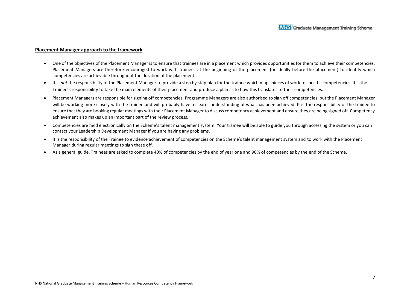#### **Placement Manager approach to the framework**

- One of the objectives of the Placement Manager is to ensure that trainees are in a placement which provides opportunities for them to achieve their competencies. Placement Managers are therefore encouraged to work with trainees at the beginning of the placement (or ideally before the placement) to identify which competencies are achievable throughout the duration of the placement.
- It is *not* the responsibility of the Placement Manager to provide a step by step plan for the trainee which maps pieces of work to specific competencies. It is the Trainee's responsibility to take the main elements of their placement and produce a plan as to how this translates to their competencies.
- Placement Managers are responsible for signing off competencies. Programme Managers are also authorised to sign off competencies, but the Placement Manager will be working more closely with the trainee and will probably have a clearer understanding of what has been achieved. It is the responsibility of the trainee to ensure that they are booking regular meetings with their Placement Manager to discuss competency achievement and ensure they are being signed off. Competency achievement also makes up an important part of the review process.
- Competencies are held electronically on the Scheme's talent management system. Your trainee will be able to guide you through accessing the system or you can contact your Leadership Development Manager if you are having any problems.
- It is the responsibility of the Trainee to evidence achievement of competencies on the Scheme's talent management system and to work with the Placement Manager during regular meetings to sign these off.
- As a general guide, Trainees are asked to complete 40% of competencies by the end of year one and 90% of competencies by the end of the Scheme.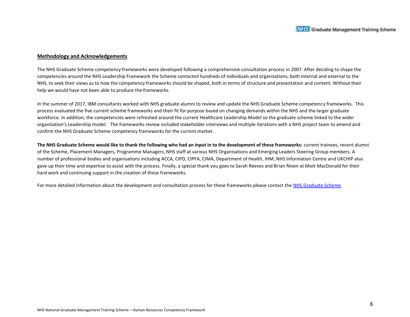#### **Methodology and Acknowledgements**

The NHS Graduate Scheme competency frameworks were developed following a comprehensive consultation process in 2007. After deciding to shape the competencies around the NHS Leadership Framework the Scheme contacted hundreds of individuals and organisations, both internal and external to the NHS, to seek their views as to how the competency frameworks should be shaped, both in terms of structure and presentation and content. Without their help we would have not been able to produce the frameworks.

In the summer of 2017, IBM consultants worked with NHS graduate alumni to review and update the NHS Graduate Scheme competency frameworks. This process evaluated the five current scheme frameworks and their fit for purpose based on changing demands within the NHS and the larger graduate workforce. In addition, the competencies were refreshed around the current Healthcare Leadership Model so the graduate scheme linked to the wider organisation's Leadership model. The frameworks review included stakeholder interviews and multiple iterations with a NHS project team to amend and confirm the NHS Graduate Scheme competency frameworks for the current market.

**The NHS Graduate Scheme would like to thank the following who had an input in to the development of these frameworks:** current trainees, recent alumni of the Scheme, Placement Managers, Programme Managers, NHS staff at various NHS Organisations and Emerging Leaders Steering Group members. A number of professional bodies and organisations including ACCA, CIPD, CIPFA, CIMA, Department of Health, IHM, NHS Information Centre and UKCHIP also gave up their time and expertise to assist with the process. Finally, a special thank you goes to Sarah Reeves and Brian Niven at Mott MacDonald for their hard work and continuing support in the creation of these frameworks.

For more detailed information about the development and consultation process for these frameworks please contact the NHS Graduate Scheme.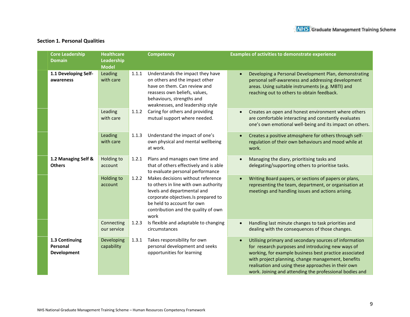### **Section 1. Personal Qualities**

| <b>Core Leadership</b><br><b>Domain</b>          | <b>Healthcare</b><br>Leadership<br><b>Model</b> |       | <b>Competency</b>                                                                                                                                                                                                            | <b>Examples of activities to demonstrate experience</b>                                                                                                                                                                                                                                                                                       |
|--------------------------------------------------|-------------------------------------------------|-------|------------------------------------------------------------------------------------------------------------------------------------------------------------------------------------------------------------------------------|-----------------------------------------------------------------------------------------------------------------------------------------------------------------------------------------------------------------------------------------------------------------------------------------------------------------------------------------------|
| 1.1 Developing Self-<br>awareness                | Leading<br>with care                            | 1.1.1 | Understands the impact they have<br>on others and the impact other<br>have on them. Can review and<br>reassess own beliefs, values,<br>behaviours, strengths and<br>weaknesses, and leadership style                         | Developing a Personal Development Plan, demonstrating<br>personal self-awareness and addressing development<br>areas. Using suitable instruments (e.g. MBTI) and<br>reaching out to others to obtain feedback.                                                                                                                                |
|                                                  | Leading<br>with care                            | 1.1.2 | Caring for others and providing<br>mutual support where needed.                                                                                                                                                              | Creates an open and honest environment where others<br>are comfortable interacting and constantly evaluates<br>one's own emotional well-being and its impact on others.                                                                                                                                                                       |
|                                                  | Leading<br>with care                            | 1.1.3 | Understand the impact of one's<br>own physical and mental wellbeing<br>at work.                                                                                                                                              | Creates a positive atmosphere for others through self-<br>regulation of their own behaviours and mood while at<br>work.                                                                                                                                                                                                                       |
| 1.2 Managing Self &<br><b>Others</b>             | Holding to<br>account                           | 1.2.1 | Plans and manages own time and<br>that of others effectively and is able<br>to evaluate personal performance                                                                                                                 | Managing the diary, prioritising tasks and<br>delegating/supporting others to prioritise tasks.                                                                                                                                                                                                                                               |
|                                                  | Holding to<br>account                           | 1.2.2 | Makes decisions without reference<br>to others in line with own authority<br>levels and departmental and<br>corporate objectives.Is prepared to<br>be held to account for own<br>contribution and the quality of own<br>work | Writing Board papers, or sections of papers or plans,<br>representing the team, department, or organisation at<br>meetings and handling issues and actions arising.                                                                                                                                                                           |
|                                                  | Connecting<br>our service                       | 1.2.3 | Is flexible and adaptable to changing<br>circumstances                                                                                                                                                                       | Handling last minute changes to task priorities and<br>dealing with the consequences of those changes.                                                                                                                                                                                                                                        |
| 1.3 Continuing<br>Personal<br><b>Development</b> | Developing<br>capability                        | 1.3.1 | Takes responsibility for own<br>personal development and seeks<br>opportunities for learning                                                                                                                                 | Utilising primary and secondary sources of information<br>for research purposes and introducing new ways of<br>working, for example business best practice associated<br>with project planning, change management, benefits<br>realisation and using these approaches in their own<br>work. Joining and attending the professional bodies and |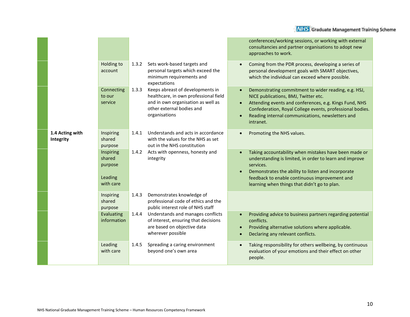|                              |                                                        |                                                                                                                                        |                                                                                                                                                                                             | conferences/working sessions, or working with external<br>consultancies and partner organisations to adopt new<br>approaches to work.                                                                                                                                                |
|------------------------------|--------------------------------------------------------|----------------------------------------------------------------------------------------------------------------------------------------|---------------------------------------------------------------------------------------------------------------------------------------------------------------------------------------------|--------------------------------------------------------------------------------------------------------------------------------------------------------------------------------------------------------------------------------------------------------------------------------------|
|                              | Holding to<br>account                                  | 1.3.2                                                                                                                                  | Sets work-based targets and<br>personal targets which exceed the<br>minimum requirements and<br>expectations                                                                                | Coming from the PDR process, developing a series of<br>personal development goals with SMART objectives,<br>which the individual can exceed where possible.                                                                                                                          |
|                              | Connecting<br>to our<br>service                        | 1.3.3                                                                                                                                  | Keeps abreast of developments in<br>healthcare, in own professional field<br>and in own organisation as well as<br>other external bodies and<br>organisations                               | Demonstrating commitment to wider reading, e.g. HSJ,<br>NICE publications, BMJ, Twitter etc.<br>Attending events and conferences, e.g. Kings Fund, NHS<br>Confederation, Royal College events, professional bodies.<br>Reading internal communications, newsletters and<br>intranet. |
| 1.4 Acting with<br>Integrity | Inspiring<br>shared<br>purpose                         | 1.4.1                                                                                                                                  | Understands and acts in accordance<br>with the values for the NHS as set<br>out in the NHS constitution                                                                                     | Promoting the NHS values.                                                                                                                                                                                                                                                            |
|                              | Inspiring<br>shared<br>purpose<br>Leading<br>with care | 1.4.2                                                                                                                                  | Acts with openness, honesty and<br>integrity                                                                                                                                                | Taking accountability when mistakes have been made or<br>understanding is limited, in order to learn and improve<br>services.<br>Demonstrates the ability to listen and incorporate<br>feedback to enable continuous improvement and<br>learning when things that didn't go to plan. |
|                              | Inspiring<br>shared<br>purpose                         | 1.4.3                                                                                                                                  | Demonstrates knowledge of<br>professional code of ethics and the<br>public interest role of NHS staff                                                                                       |                                                                                                                                                                                                                                                                                      |
|                              | Evaluating<br>information                              | Understands and manages conflicts<br>1.4.4<br>of interest, ensuring that decisions<br>are based on objective data<br>wherever possible | Providing advice to business partners regarding potential<br>conflicts.<br>Providing alternative solutions where applicable.<br>$\bullet$<br>Declaring any relevant conflicts.<br>$\bullet$ |                                                                                                                                                                                                                                                                                      |
|                              | Leading<br>with care                                   | 1.4.5                                                                                                                                  | Spreading a caring environment<br>beyond one's own area                                                                                                                                     | Taking responsibility for others wellbeing, by continuous<br>evaluation of your emotions and their effect on other<br>people.                                                                                                                                                        |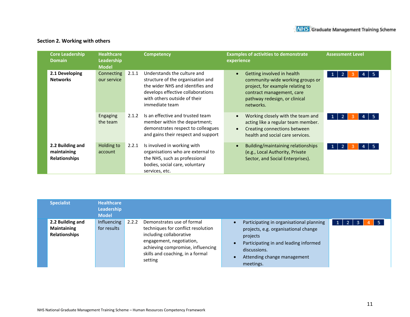#### **Section 2. Working with others**

| <b>Core Leadership</b><br><b>Domain</b>                 | <b>Healthcare</b><br>Leadership<br><b>Model</b> |       | <b>Competency</b>                                                                                                                                                                           | <b>Examples of activities to demonstrate</b><br>experience                                                                                                                    | <b>Assessment Level</b>                           |
|---------------------------------------------------------|-------------------------------------------------|-------|---------------------------------------------------------------------------------------------------------------------------------------------------------------------------------------------|-------------------------------------------------------------------------------------------------------------------------------------------------------------------------------|---------------------------------------------------|
| 2.1 Developing<br><b>Networks</b>                       | Connecting<br>our service                       | 2.1.1 | Understands the culture and<br>structure of the organisation and<br>the wider NHS and identifies and<br>develops effective collaborations<br>with others outside of their<br>immediate team | Getting involved in health<br>community-wide working groups or<br>project, for example relating to<br>contract management, care<br>pathway redesign, or clinical<br>networks. | $\vert 1 \vert$<br>$\overline{2}$<br>5.<br>4<br>з |
|                                                         | Engaging<br>the team                            | 2.1.2 | Is an effective and trusted team<br>member within the department;<br>demonstrates respect to colleagues<br>and gains their respect and support                                              | Working closely with the team and<br>acting like a regular team member.<br>Creating connections between<br>health and social care services.                                   | $\overline{2}$<br>$\mathbf{1}$                    |
| 2.2 Building and<br>maintaining<br><b>Relationships</b> | Holding to<br>account                           | 2.2.1 | Is involved in working with<br>organisations who are external to<br>the NHS, such as professional<br>bodies, social care, voluntary<br>services, etc.                                       | Building/maintaining relationships<br>(e.g., Local Authority, Private<br>Sector, and Social Enterprises).                                                                     | $\vert 1 \vert$<br>$\overline{2}$                 |

| <b>Specialist</b>                                              | <b>Healthcare</b><br>Leadership<br><b>Model</b> |       |                                                                                                                                                                                                             |           |                                                                                                                                                                                                   |                       |
|----------------------------------------------------------------|-------------------------------------------------|-------|-------------------------------------------------------------------------------------------------------------------------------------------------------------------------------------------------------------|-----------|---------------------------------------------------------------------------------------------------------------------------------------------------------------------------------------------------|-----------------------|
| 2.2 Building and<br><b>Maintaining</b><br><b>Relationships</b> | Influencing<br>for results                      | 2.2.2 | Demonstrates use of formal<br>techniques for conflict resolution<br>including collaborative<br>engagement, negotiation,<br>achieving compromise, influencing<br>skills and coaching, in a formal<br>setting | $\bullet$ | Participating in organisational planning<br>projects, e.g. organisational change<br>projects<br>Participating in and leading informed<br>discussions.<br>Attending change management<br>meetings. | -5<br>$1 \mid 2 \mid$ |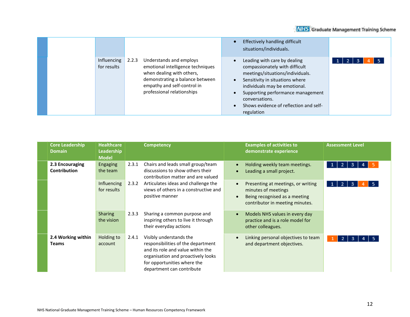|                            |                                                                                                                                                                                                    | Effectively handling difficult<br>situations/individuals.                                                                                                                                                                                                                             |  |
|----------------------------|----------------------------------------------------------------------------------------------------------------------------------------------------------------------------------------------------|---------------------------------------------------------------------------------------------------------------------------------------------------------------------------------------------------------------------------------------------------------------------------------------|--|
| Influencing<br>for results | Understands and employs<br>2.2.3<br>emotional intelligence techniques<br>when dealing with others,<br>demonstrating a balance between<br>empathy and self-control in<br>professional relationships | Leading with care by dealing<br>compassionately with difficult<br>meetings/situations/individuals.<br>Sensitivity in situations where<br>individuals may be emotional.<br>Supporting performance management<br>conversations.<br>Shows evidence of reflection and self-<br>regulation |  |

| <b>Core Leadership</b><br><b>Domain</b> | <b>Healthcare</b><br>Leadership<br><b>Model</b> |       | <b>Competency</b>                                                                                                                                                                                    | <b>Examples of activities to</b><br><b>Assessment Level</b><br>demonstrate experience                                                                                                                  |  |
|-----------------------------------------|-------------------------------------------------|-------|------------------------------------------------------------------------------------------------------------------------------------------------------------------------------------------------------|--------------------------------------------------------------------------------------------------------------------------------------------------------------------------------------------------------|--|
| 2.3 Encouraging<br><b>Contribution</b>  | Engaging<br>the team                            | 2.3.1 | Chairs and leads small group/team<br>discussions to show others their<br>contribution matter and are valued                                                                                          | Holding weekly team meetings.<br>-2<br>3.<br>$\bullet$<br>1<br>Leading a small project.<br>$\bullet$                                                                                                   |  |
|                                         | Influencing<br>for results                      | 2.3.2 | Articulates ideas and challenge the<br>views of others in a constructive and<br>positive manner                                                                                                      | Presenting at meetings, or writing<br>$\overline{2}$<br>з<br>5.<br>1 <sup>1</sup><br>$\bullet$<br>minutes of meetings<br>Being recognised as a meeting<br>$\bullet$<br>contributor in meeting minutes. |  |
|                                         | <b>Sharing</b><br>the vision                    | 2.3.3 | Sharing a common purpose and<br>inspiring others to live it through<br>their everyday actions                                                                                                        | Models NHS values in every day<br>$\bullet$<br>practice and is a role model for<br>other colleagues.                                                                                                   |  |
| 2.4 Working within<br><b>Teams</b>      | Holding to<br>account                           | 2.4.1 | Visibly understands the<br>responsibilities of the department<br>and its role and value within the<br>organisation and proactively looks<br>for opportunities where the<br>department can contribute | Linking personal objectives to team<br>$\bullet$<br>$\overline{2}$<br>3<br>and department objectives.                                                                                                  |  |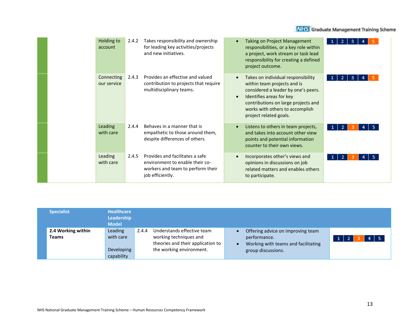| Holding to<br>account     | 2.4.2 | Takes responsibility and ownership<br>for leading key activities/projects<br>and new initiatives.                           | <b>Taking on Project Management</b><br>$\bullet$<br>2<br>з<br>responsibilities, or a key role within<br>a project, work stream or task lead<br>responsibility for creating a defined<br>project outcome.                                                                |
|---------------------------|-------|-----------------------------------------------------------------------------------------------------------------------------|-------------------------------------------------------------------------------------------------------------------------------------------------------------------------------------------------------------------------------------------------------------------------|
| Connecting<br>our service | 2.4.3 | Provides an effective and valued<br>contribution to projects that require<br>multidisciplinary teams.                       | Takes on individual responsibility<br>$\bullet$<br>з<br>within team projects and is<br>considered a leader by one's peers.<br>Identifies areas for key<br>$\bullet$<br>contributions on large projects and<br>works with others to accomplish<br>project related goals. |
| Leading<br>with care      | 2.4.4 | Behaves in a manner that is<br>empathetic to those around them,<br>despite differences of others.                           | Listens to others in team projects,<br>$\bullet$<br>$\mathbf{2}$<br>1<br>and takes into account other view<br>points and potential information<br>counter to their own views.                                                                                           |
| Leading<br>with care      | 2.4.5 | Provides and facilitates a safe<br>environment to enable their co-<br>workers and team to perform their<br>job efficiently. | Incorporates other's views and<br>$\bullet$<br>$\mathbf{2}$<br>opinions in discussions on job<br>related matters and enables others<br>to participate.                                                                                                                  |

| <b>Specialist</b>           | <b>Model</b> | <b>Healthcare</b><br><b>Leadership</b>                           |                                                                                                                       |                                    |                                                                          |     |
|-----------------------------|--------------|------------------------------------------------------------------|-----------------------------------------------------------------------------------------------------------------------|------------------------------------|--------------------------------------------------------------------------|-----|
| 2.4 Working within<br>Teams |              | <b>Leading</b><br>2.4.4<br>with care<br>Developing<br>capability | Understands effective team<br>working techniques and<br>theories and their application to<br>the working environment. | performance.<br>group discussions. | Offering advice on improving team<br>Working with teams and facilitating | 4 5 |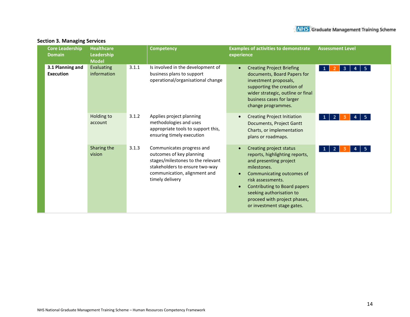| <b>Healthcare</b><br><b>Core Leadership</b><br><b>Competency</b><br>Leadership<br><b>Domain</b><br><b>Model</b> |                           |       | <b>Assessment Level</b><br><b>Examples of activities to demonstrate</b><br>experience                                                                                           |                                                                                                                                                                                                                                                                                            |
|-----------------------------------------------------------------------------------------------------------------|---------------------------|-------|---------------------------------------------------------------------------------------------------------------------------------------------------------------------------------|--------------------------------------------------------------------------------------------------------------------------------------------------------------------------------------------------------------------------------------------------------------------------------------------|
| 3.1 Planning and<br><b>Execution</b>                                                                            | Evaluating<br>information | 3.1.1 | Is involved in the development of<br>business plans to support<br>operational/organisational change                                                                             | <b>Creating Project Briefing</b><br>-5.<br>$\bullet$<br>$\mathbf{1}$<br>3<br>4<br>documents, Board Papers for<br>investment proposals,<br>supporting the creation of<br>wider strategic, outline or final<br>business cases for larger<br>change programmes.                               |
|                                                                                                                 | Holding to<br>account     | 3.1.2 | Applies project planning<br>methodologies and uses<br>appropriate tools to support this,<br>ensuring timely execution                                                           | <b>Creating Project Initiation</b><br>-5.<br>2<br>4<br>Documents, Project Gantt<br>Charts, or implementation<br>plans or roadmaps.                                                                                                                                                         |
|                                                                                                                 | Sharing the<br>vision     | 3.1.3 | Communicates progress and<br>outcomes of key planning<br>stages/milestones to the relevant<br>stakeholders to ensure two-way<br>communication, alignment and<br>timely delivery | Creating project status<br>2<br>-5.<br>reports, highlighting reports,<br>and presenting project<br>milestones.<br>Communicating outcomes of<br>risk assessments.<br>Contributing to Board papers<br>seeking authorisation to<br>proceed with project phases,<br>or investment stage gates. |

#### **Section 3. Managing Services**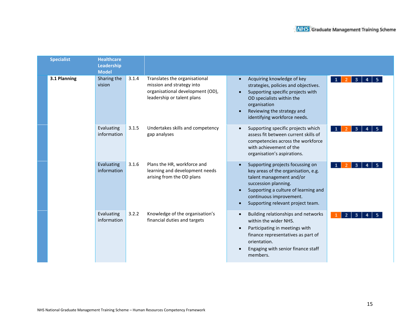| <b>Specialist</b> | <b>Healthcare</b><br>Leadership<br><b>Model</b> |                                                                                                                                       |                                                                                                                                                                                                                                                  |
|-------------------|-------------------------------------------------|---------------------------------------------------------------------------------------------------------------------------------------|--------------------------------------------------------------------------------------------------------------------------------------------------------------------------------------------------------------------------------------------------|
| 3.1 Planning      | Sharing the<br>vision                           | 3.1.4<br>Translates the organisational<br>mission and strategy into<br>organisational development (OD),<br>leadership or talent plans | Acquiring knowledge of key<br>3<br>$\mathbf{1}$<br>strategies, policies and objectives.<br>Supporting specific projects with<br>OD specialists within the<br>organisation<br>Reviewing the strategy and<br>identifying workforce needs.          |
|                   | Evaluating<br>information                       | 3.1.5<br>Undertakes skills and competency<br>gap analyses                                                                             | Supporting specific projects which<br>-3<br>assess fit between current skills of<br>competencies across the workforce<br>with achievement of the<br>organisation's aspirations.                                                                  |
|                   | Evaluating<br>information                       | 3.1.6<br>Plans the HR, workforce and<br>learning and development needs<br>arising from the OD plans                                   | Supporting projects focussing on<br>-3<br>-2.<br>key areas of the organisation, e.g.<br>talent management and/or<br>succession planning.<br>Supporting a culture of learning and<br>continuous improvement.<br>Supporting relevant project team. |
|                   | Evaluating<br>information                       | 3.2.2<br>Knowledge of the organisation's<br>financial duties and targets                                                              | Building relationships and networks<br>-2<br>3<br>within the wider NHS.<br>Participating in meetings with<br>$\bullet$<br>finance representatives as part of<br>orientation.<br>Engaging with senior finance staff<br>members.                   |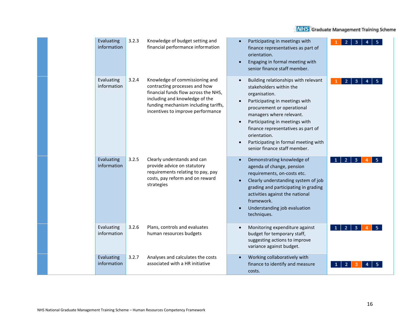| Evaluating<br>information | 3.2.3 | Knowledge of budget setting and<br>financial performance information                                                                                                                                                   | Participating in meetings with<br>$\bullet$<br>finance representatives as part of<br>orientation.<br>Engaging in formal meeting with<br>$\bullet$<br>senior finance staff member.                                                                                                                                                                                                                                       |  |
|---------------------------|-------|------------------------------------------------------------------------------------------------------------------------------------------------------------------------------------------------------------------------|-------------------------------------------------------------------------------------------------------------------------------------------------------------------------------------------------------------------------------------------------------------------------------------------------------------------------------------------------------------------------------------------------------------------------|--|
| Evaluating<br>information | 3.2.4 | Knowledge of commissioning and<br>contracting processes and how<br>financial funds flow across the NHS,<br>including and knowledge of the<br>funding mechanism including tariffs,<br>incentives to improve performance | Building relationships with relevant<br>$\bullet$<br>$\overline{2}$<br>з<br>stakeholders within the<br>organisation.<br>Participating in meetings with<br>$\bullet$<br>procurement or operational<br>managers where relevant.<br>Participating in meetings with<br>$\bullet$<br>finance representatives as part of<br>orientation.<br>Participating in formal meeting with<br>$\bullet$<br>senior finance staff member. |  |
| Evaluating<br>information | 3.2.5 | Clearly understands and can<br>provide advice on statutory<br>requirements relating to pay, pay<br>costs, pay reform and on reward<br>strategies                                                                       | Demonstrating knowledge of<br>$\bullet$<br>agenda of change, pension<br>requirements, on-costs etc.<br>Clearly understanding system of job<br>$\bullet$<br>grading and participating in grading<br>activities against the national<br>framework.<br>Understanding job evaluation<br>techniques.                                                                                                                         |  |
| Evaluating<br>information | 3.2.6 | Plans, controls and evaluates<br>human resources budgets                                                                                                                                                               | Monitoring expenditure against<br>$\overline{2}$<br>3<br>$\bullet$<br>budget for temporary staff,<br>suggesting actions to improve<br>variance against budget.                                                                                                                                                                                                                                                          |  |
| Evaluating<br>information | 3.2.7 | Analyses and calculates the costs<br>associated with a HR initiative                                                                                                                                                   | Working collaboratively with<br>$\bullet$<br>finance to identify and measure<br>costs.                                                                                                                                                                                                                                                                                                                                  |  |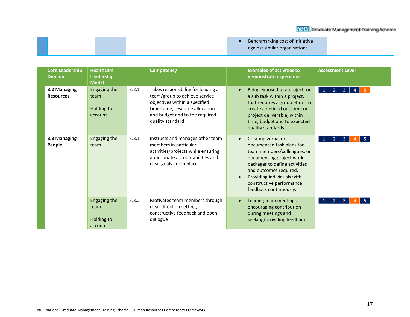|  | Benchmarking cost of initiative |  |
|--|---------------------------------|--|
|  | against similar organisations   |  |
|  |                                 |  |

| <b>Core Leadership</b><br><b>Domain</b> | <b>Healthcare</b><br>Leadership<br><b>Model</b> | <b>Competency</b>                                                                                                                                                                                     | <b>Examples of activities to</b><br>demonstrate experience                                                                                                                                                                                                                          | <b>Assessment Level</b>                           |
|-----------------------------------------|-------------------------------------------------|-------------------------------------------------------------------------------------------------------------------------------------------------------------------------------------------------------|-------------------------------------------------------------------------------------------------------------------------------------------------------------------------------------------------------------------------------------------------------------------------------------|---------------------------------------------------|
| 3.2 Managing<br><b>Resources</b>        | Engaging the<br>team<br>Holding to<br>account   | 3.2.1<br>Takes responsibility for leading a<br>team/group to achieve service<br>objectives within a specified<br>timeframe, resource allocation<br>and budget and to the required<br>quality standard | Being exposed to a project, or<br>$\bullet$<br>a sub task within a project,<br>that requires a group effort to<br>create a defined outcome or<br>project deliverable, within<br>time, budget and to expected<br>quality standards.                                                  | 5.<br>2 <sup>1</sup><br>1 <sup>1</sup><br>з.<br>4 |
| 3.3 Managing<br>People                  | Engaging the<br>team                            | 3.3.1<br>Instructs and manages other team<br>members in particular<br>activities/projects while ensuring<br>appropriate accountabilities and<br>clear goals are in place                              | Creating verbal or<br>$\bullet$<br>documented task plans for<br>team members/colleagues, or<br>documenting project work<br>packages to define activities<br>and outcomes required.<br>Providing individuals with<br>$\bullet$<br>constructive performance<br>feedback continuously. | -5.<br>$1 \mid 2 \mid$<br>3 <sup>1</sup>          |
|                                         | Engaging the<br>team<br>Holding to<br>account   | 3.3.2<br>Motivates team members through<br>clear direction setting,<br>constructive feedback and open<br>dialogue                                                                                     | Leading team meetings,<br>$\bullet$<br>encouraging contribution<br>during meetings and<br>seeking/providing feedback.                                                                                                                                                               | -5.<br>2 <sup>1</sup><br>3.                       |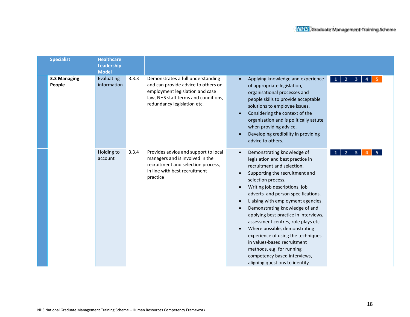| <b>Specialist</b>      | <b>Healthcare</b><br>Leadership<br><b>Model</b> |       |                                                                                                                                                                                    |                                                                                                                                                                                                                                                                                                                                                                                                                                                                                                                                                                                                            |
|------------------------|-------------------------------------------------|-------|------------------------------------------------------------------------------------------------------------------------------------------------------------------------------------|------------------------------------------------------------------------------------------------------------------------------------------------------------------------------------------------------------------------------------------------------------------------------------------------------------------------------------------------------------------------------------------------------------------------------------------------------------------------------------------------------------------------------------------------------------------------------------------------------------|
| 3.3 Managing<br>People | Evaluating<br>information                       | 3.3.3 | Demonstrates a full understanding<br>and can provide advice to others on<br>employment legislation and case<br>law, NHS staff terms and conditions,<br>redundancy legislation etc. | Applying knowledge and experience<br>$\bullet$<br>$\overline{\mathbf{3}}$<br>$\overline{4}$<br>$\mathbf{1}$<br>of appropriate legislation,<br>organisational processes and<br>people skills to provide acceptable<br>solutions to employee issues.<br>Considering the context of the<br>organisation and is politically astute<br>when providing advice.<br>Developing credibility in providing<br>advice to others.                                                                                                                                                                                       |
|                        | Holding to<br>account                           | 3.3.4 | Provides advice and support to local<br>managers and is involved in the<br>recruitment and selection process,<br>in line with best recruitment<br>practice                         | Demonstrating knowledge of<br>3<br>legislation and best practice in<br>recruitment and selection.<br>Supporting the recruitment and<br>selection process.<br>Writing job descriptions, job<br>adverts and person specifications.<br>Liaising with employment agencies.<br>Demonstrating knowledge of and<br>applying best practice in interviews,<br>assessment centres, role plays etc.<br>Where possible, demonstrating<br>$\bullet$<br>experience of using the techniques<br>in values-based recruitment<br>methods, e.g. for running<br>competency based interviews,<br>aligning questions to identify |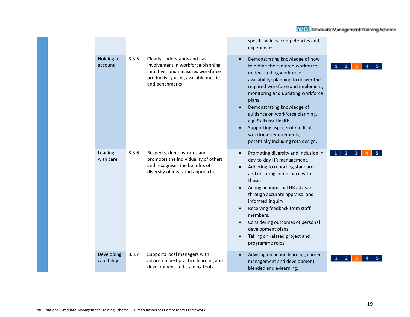|                          |       |                                                                                                                                                                  | specific values, competencies and<br>experiences.                                                                                                                                                                                                                                                                                                                                                                                                                    |   |
|--------------------------|-------|------------------------------------------------------------------------------------------------------------------------------------------------------------------|----------------------------------------------------------------------------------------------------------------------------------------------------------------------------------------------------------------------------------------------------------------------------------------------------------------------------------------------------------------------------------------------------------------------------------------------------------------------|---|
| Holding to<br>account    | 3.3.5 | Clearly understands and has<br>involvement in workforce planning<br>initiatives and measures workforce<br>productivity using available metrics<br>and benchmarks | Demonstrating knowledge of how<br>$\bullet$<br>to define the required workforce;<br>understanding workforce<br>availability; planning to deliver the<br>required workforce and implement,<br>monitoring and updating workforce<br>plans.<br>Demonstrating knowledge of<br>$\bullet$<br>guidance on workforce planning,<br>e.g. Skills for Health.<br>Supporting aspects of medical<br>workforce requirements,<br>potentially including rota design.                  | 2 |
| Leading<br>with care     | 3.3.6 | Respects, demonstrates and<br>promotes the individuality of others<br>and recognises the benefits of<br>diversity of ideas and approaches                        | Promoting diversity and inclusion in<br>$\bullet$<br>day-to-day HR management.<br>Adhering to reporting standards<br>$\bullet$<br>and ensuring compliance with<br>these.<br>Acting an impartial HR advisor<br>through accurate appraisal and<br>informed inquiry.<br>Receiving feedback from staff<br>$\bullet$<br>members.<br>Considering outcomes of personal<br>$\bullet$<br>development plans.<br>Taking on related project and<br>$\bullet$<br>programme roles. | 3 |
| Developing<br>capability | 3.3.7 | Supports local managers with<br>advice on best practice learning and<br>development and training tools                                                           | Advising on action learning, career<br>$\bullet$<br>management and development,<br>blended and e-learning,                                                                                                                                                                                                                                                                                                                                                           |   |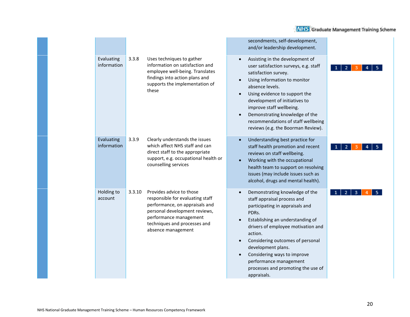|                           |        |                                                                                                                                                                                                                 | secondments, self-development,<br>and/or leadership development.                                                                                                                                                                                                                                                                                                       |                     |
|---------------------------|--------|-----------------------------------------------------------------------------------------------------------------------------------------------------------------------------------------------------------------|------------------------------------------------------------------------------------------------------------------------------------------------------------------------------------------------------------------------------------------------------------------------------------------------------------------------------------------------------------------------|---------------------|
| Evaluating<br>information | 3.3.8  | Uses techniques to gather<br>information on satisfaction and<br>employee well-being. Translates<br>findings into action plans and<br>supports the implementation of<br>these                                    | Assisting in the development of<br>user satisfaction surveys, e.g. staff<br>satisfaction survey.<br>Using information to monitor<br>absence levels.<br>Using evidence to support the<br>development of initiatives to<br>improve staff wellbeing.<br>Demonstrating knowledge of the<br>recommendations of staff wellbeing<br>reviews (e.g. the Boorman Review).        | 2                   |
| Evaluating<br>information | 3.3.9  | Clearly understands the issues<br>which affect NHS staff and can<br>direct staff to the appropriate<br>support, e.g. occupational health or<br>counselling services                                             | Understanding best practice for<br>staff health promotion and recent<br>reviews on staff wellbeing.<br>Working with the occupational<br>health team to support on resolving<br>issues (may include issues such as<br>alcohol, drugs and mental health).                                                                                                                | $\overline{2}$      |
| Holding to<br>account     | 3.3.10 | Provides advice to those<br>responsible for evaluating staff<br>performance, on appraisals and<br>personal development reviews,<br>performance management<br>techniques and processes and<br>absence management | Demonstrating knowledge of the<br>staff appraisal process and<br>participating in appraisals and<br>PDRs.<br>Establishing an understanding of<br>drivers of employee motivation and<br>action.<br>Considering outcomes of personal<br>development plans.<br>Considering ways to improve<br>performance management<br>processes and promoting the use of<br>appraisals. | $\overline{2}$<br>3 |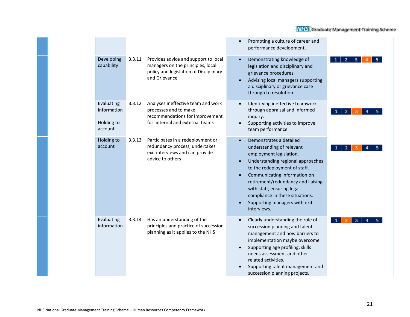|                                                    |        |                                                                                                                                      | Promoting a culture of career and<br>performance development.                                                                                                                                                                                                                                                                                             |
|----------------------------------------------------|--------|--------------------------------------------------------------------------------------------------------------------------------------|-----------------------------------------------------------------------------------------------------------------------------------------------------------------------------------------------------------------------------------------------------------------------------------------------------------------------------------------------------------|
| Developing<br>capability                           | 3.3.11 | Provides advice and support to local<br>managers on the principles, local<br>policy and legislation of Disciplinary<br>and Grievance | Demonstrating knowledge of<br>$\bullet$<br>legislation and disciplinary and<br>grievance procedures.<br>Advising local managers supporting<br>a disciplinary or grievance case<br>through to resolution.                                                                                                                                                  |
| Evaluating<br>information<br>Holding to<br>account | 3.3.12 | Analyses ineffective team and work<br>processes and to make<br>recommendations for improvement<br>for internal and external teams    | Identifying ineffective teamwork<br>through appraisal and informed<br>inquiry.<br>Supporting activities to improve<br>team performance.                                                                                                                                                                                                                   |
| Holding to<br>account                              | 3.3.13 | Participates in a redeployment or<br>redundancy process, undertakes<br>exit interviews and can provide<br>advice to others           | Demonstrates a detailed<br>$\bullet$<br>understanding of relevant<br>employment legislation.<br>Understanding regional approaches<br>to the redeployment of staff.<br>Communicating information on<br>retirement/redundancy and liaising<br>with staff, ensuring legal<br>compliance in these situations.<br>Supporting managers with exit<br>interviews. |
| Evaluating<br>information                          | 3.3.14 | Has an understanding of the<br>principles and practice of succession<br>planning as it applies to the NHS                            | Clearly understanding the role of<br>succession planning and talent<br>management and how barriers to<br>implementation maybe overcome<br>Supporting age profiling, skills<br>needs assessment and other<br>related activities.<br>Supporting talent management and<br>succession planning projects.                                                      |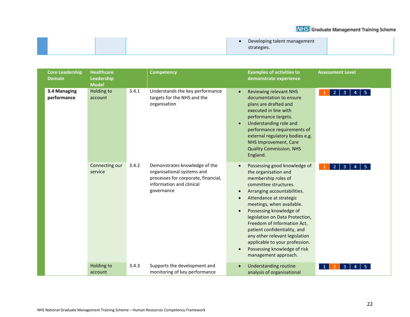|  | Developing talent management |  |
|--|------------------------------|--|
|  | strategies.                  |  |
|  |                              |  |

| <b>Core Leadership</b><br><b>Domain</b> | <b>Healthcare</b><br>Leadership<br><b>Model</b> |       | <b>Competency</b>                                                                                                                            |                                                               | <b>Examples of activities to</b><br>demonstrate experience                                                                                                                                                                                                                                                                                                                                                                                           | <b>Assessment Level</b>                               |
|-----------------------------------------|-------------------------------------------------|-------|----------------------------------------------------------------------------------------------------------------------------------------------|---------------------------------------------------------------|------------------------------------------------------------------------------------------------------------------------------------------------------------------------------------------------------------------------------------------------------------------------------------------------------------------------------------------------------------------------------------------------------------------------------------------------------|-------------------------------------------------------|
| 3.4 Managing<br>performance             | <b>Holding to</b><br>account                    | 3.4.1 | Understands the key performance<br>targets for the NHS and the<br>organisation                                                               | $\bullet$<br>$\bullet$                                        | <b>Reviewing relevant NHS</b><br>documentation to ensure<br>plans are drafted and<br>executed in line with<br>performance targets.<br>Understanding role and<br>performance requirements of<br>external regulatory bodies e.g.<br>NHS Improvement, Care<br><b>Quality Commission, NHS</b><br>England.                                                                                                                                                | $\mathbf{2}$<br>3 <sub>1</sub><br>5 <sub>1</sub><br>4 |
|                                         | Connecting our<br>service                       | 3.4.2 | Demonstrates knowledge of the<br>organisational systems and<br>processes for corporate, financial,<br>information and clinical<br>governance | $\bullet$<br>$\bullet$<br>$\bullet$<br>$\bullet$<br>$\bullet$ | Possessing good knowledge of<br>the organisation and<br>membership roles of<br>committee structures.<br>Arranging accountabilities.<br>Attendance at strategic<br>meetings, when available.<br>Possessing knowledge of<br>legislation on Data Protection,<br>Freedom of Information Act,<br>patient confidentiality, and<br>any other relevant legislation<br>applicable to your profession.<br>Possessing knowledge of risk<br>management approach. | 2<br>3                                                |
|                                         | Holding to<br>account                           | 3.4.3 | Supports the development and<br>monitoring of key performance                                                                                | $\bullet$                                                     | <b>Understanding routine</b><br>analysis of organisational                                                                                                                                                                                                                                                                                                                                                                                           | 3                                                     |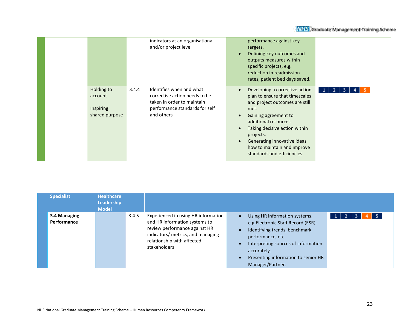|                                                             | indicators at an organisational<br>and/or project level                                                                                          | performance against key<br>targets.<br>Defining key outcomes and<br>outputs measures within<br>specific projects, e.g.<br>reduction in readmission<br>rates, patient bed days saved.                                                                                                                         |
|-------------------------------------------------------------|--------------------------------------------------------------------------------------------------------------------------------------------------|--------------------------------------------------------------------------------------------------------------------------------------------------------------------------------------------------------------------------------------------------------------------------------------------------------------|
| Holding to<br>account<br><b>Inspiring</b><br>shared purpose | Identifies when and what<br>3.4.4<br>corrective action needs to be<br>taken in order to maintain<br>performance standards for self<br>and others | Developing a corrective action<br>3.<br>plan to ensure that timescales<br>and project outcomes are still<br>met.<br>Gaining agreement to<br>additional resources.<br>Taking decisive action within<br>projects.<br>Generating innovative ideas<br>how to maintain and improve<br>standards and efficiencies. |

| <b>Specialist</b>                  | <b>Healthcare</b><br><b>Leadership</b><br><b>Model</b> |       |                                                                                                                                                                                          |                                                                                                                                                                                                                                                                       |         |
|------------------------------------|--------------------------------------------------------|-------|------------------------------------------------------------------------------------------------------------------------------------------------------------------------------------------|-----------------------------------------------------------------------------------------------------------------------------------------------------------------------------------------------------------------------------------------------------------------------|---------|
| 3.4 Managing<br><b>Performance</b> |                                                        | 3.4.5 | Experienced in using HR information<br>and HR information systems to<br>review performance against HR<br>indicators/ metrics, and managing<br>relationship with affected<br>stakeholders | Using HR information systems,<br>$\bullet$<br>e.g. Electronic Staff Record (ESR).<br>Identifying trends, benchmark<br>$\bullet$<br>performance, etc.<br>Interpreting sources of information<br>accurately.<br>Presenting information to senior HR<br>Manager/Partner. | -5<br>З |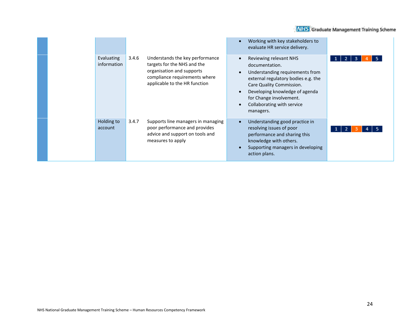| Evaluating<br>information | 3.4.6 | Understands the key performance<br>targets for the NHS and the<br>organisation and supports<br>compliance requirements where<br>applicable to the HR function | $\bullet$<br>$\bullet$<br>$\bullet$<br>$\bullet$ | Working with key stakeholders to<br>evaluate HR service delivery.<br>Reviewing relevant NHS<br>documentation.<br>Understanding requirements from<br>external regulatory bodies e.g. the<br>Care Quality Commission.<br>Developing knowledge of agenda<br>for Change involvement.<br>Collaborating with service<br>managers. | -3<br>2      |
|---------------------------|-------|---------------------------------------------------------------------------------------------------------------------------------------------------------------|--------------------------------------------------|-----------------------------------------------------------------------------------------------------------------------------------------------------------------------------------------------------------------------------------------------------------------------------------------------------------------------------|--------------|
| Holding to<br>account     | 3.4.7 | Supports line managers in managing<br>poor performance and provides<br>advice and support on tools and<br>measures to apply                                   | $\bullet$                                        | Understanding good practice in<br>resolving issues of poor<br>performance and sharing this<br>knowledge with others.<br>Supporting managers in developing<br>action plans.                                                                                                                                                  | $\mathbf{2}$ |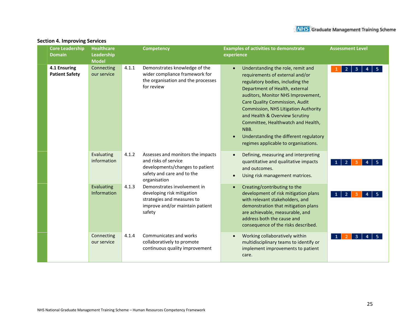| <b>Core Leadership</b><br><b>Domain</b> | <b>Healthcare</b><br>Leadership<br><b>Model</b> |       | <b>Competency</b>                                                                                                                          | <b>Examples of activities to demonstrate</b><br><b>Assessment Level</b><br>experience                                                                                                                                                                                                                                                                                                                                                                |
|-----------------------------------------|-------------------------------------------------|-------|--------------------------------------------------------------------------------------------------------------------------------------------|------------------------------------------------------------------------------------------------------------------------------------------------------------------------------------------------------------------------------------------------------------------------------------------------------------------------------------------------------------------------------------------------------------------------------------------------------|
| 4.1 Ensuring<br><b>Patient Safety</b>   | Connecting<br>our service                       | 4.1.1 | Demonstrates knowledge of the<br>wider compliance framework for<br>the organisation and the processes<br>for review                        | Understanding the role, remit and<br>3<br>2<br>requirements of external and/or<br>regulatory bodies, including the<br>Department of Health, external<br>auditors, Monitor NHS Improvement,<br><b>Care Quality Commission, Audit</b><br><b>Commission, NHS Litigation Authority</b><br>and Health & Overview Scrutiny<br>Committee, Healthwatch and Health,<br>NBB.<br>Understanding the different regulatory<br>regimes applicable to organisations. |
|                                         | Evaluating<br>information                       | 4.1.2 | Assesses and monitors the impacts<br>and risks of service<br>developments/changes to patient<br>safety and care and to the<br>organisation | Defining, measuring and interpreting<br>quantitative and qualitative impacts<br>2<br>and outcomes.<br>Using risk management matrices.                                                                                                                                                                                                                                                                                                                |
|                                         | Evaluating<br>Information                       | 4.1.3 | Demonstrates involvement in<br>developing risk mitigation<br>strategies and measures to<br>improve and/or maintain patient<br>safety       | Creating/contributing to the<br>development of risk mitigation plans<br>2<br>-1<br>with relevant stakeholders, and<br>demonstration that mitigation plans<br>are achievable, measurable, and<br>address both the cause and<br>consequence of the risks described.                                                                                                                                                                                    |
|                                         | Connecting<br>our service                       | 4.1.4 | Communicates and works<br>collaboratively to promote<br>continuous quality improvement                                                     | Working collaboratively within<br>multidisciplinary teams to identify or<br>implement improvements to patient<br>care.                                                                                                                                                                                                                                                                                                                               |

#### **Section 4. Improving Services**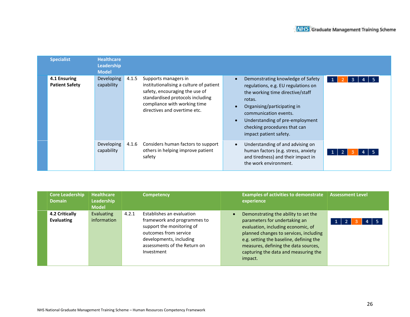| <b>Specialist</b>                     | <b>Healthcare</b><br>Leadership<br><b>Model</b> |       |                                                                                                                                                                                                       |                                                                                                                                                                                                                                                                             |                     |
|---------------------------------------|-------------------------------------------------|-------|-------------------------------------------------------------------------------------------------------------------------------------------------------------------------------------------------------|-----------------------------------------------------------------------------------------------------------------------------------------------------------------------------------------------------------------------------------------------------------------------------|---------------------|
| 4.1 Ensuring<br><b>Patient Safety</b> | Developing<br>capability                        | 4.1.5 | Supports managers in<br>institutionalising a culture of patient<br>safety, encouraging the use of<br>standardised protocols including<br>compliance with working time<br>directives and overtime etc. | Demonstrating knowledge of Safety<br>regulations, e.g. EU regulations on<br>the working time directive/staff<br>rotas.<br>Organising/participating in<br>communication events.<br>Understanding of pre-employment<br>checking procedures that can<br>impact patient safety. | 1 <sup>1</sup><br>3 |
|                                       | Developing<br>capability                        | 4.1.6 | Considers human factors to support<br>others in helping improve patient<br>safety                                                                                                                     | Understanding of and advising on<br>human factors (e.g. stress, anxiety<br>and tiredness) and their impact in<br>the work environment.                                                                                                                                      |                     |

| <b>Core Leadership</b><br><b>Domain</b> | <b>Healthcare</b><br>Leadership<br><b>Model</b> | <b>Competency</b>                                                                                                                                                                                | <b>Examples of activities to demonstrate</b><br>experience                                                                                                                                                                                                                                  | <b>Assessment Level</b> |
|-----------------------------------------|-------------------------------------------------|--------------------------------------------------------------------------------------------------------------------------------------------------------------------------------------------------|---------------------------------------------------------------------------------------------------------------------------------------------------------------------------------------------------------------------------------------------------------------------------------------------|-------------------------|
| 4.2 Critically<br>Evaluating            | Evaluating<br>information                       | Establishes an evaluation<br>4.2.1<br>framework and programmes to<br>support the monitoring of<br>outcomes from service<br>developments, including<br>assessments of the Return on<br>Investment | Demonstrating the ability to set the<br>parameters for undertaking an<br>evaluation, including economic, of<br>planned changes to services, including<br>e.g. setting the baseline, defining the<br>measures, defining the data sources,<br>capturing the data and measuring the<br>impact. | 1 <sup>1</sup>          |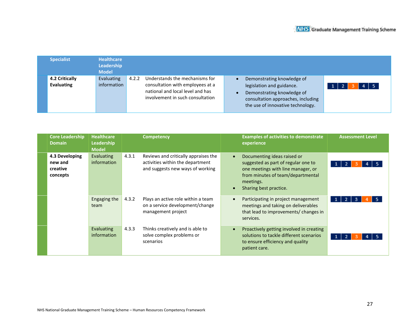| <b>Specialist</b>            | <b>Healthcare</b><br>Leadership<br><b>Model</b> |       |                                                                                                                                            |                                                                                                                                                                  |                            |
|------------------------------|-------------------------------------------------|-------|--------------------------------------------------------------------------------------------------------------------------------------------|------------------------------------------------------------------------------------------------------------------------------------------------------------------|----------------------------|
| 4.2 Critically<br>Evaluating | Evaluating<br>information                       | 4.2.2 | Understands the mechanisms for<br>consultation with employees at a<br>national and local level and has<br>involvement in such consultation | Demonstrating knowledge of<br>legislation and guidance.<br>Demonstrating knowledge of<br>consultation approaches, including<br>the use of innovative technology. | $4 \mid 5$<br>$\mathbf{1}$ |

| <b>Core Leadership</b><br><b>Domain</b>           | <b>Healthcare</b><br>Leadership<br><b>Model</b> | <b>Competency</b>                                                                                                     | <b>Examples of activities to demonstrate</b><br>experience                                                                                                                                        | <b>Assessment Level</b> |
|---------------------------------------------------|-------------------------------------------------|-----------------------------------------------------------------------------------------------------------------------|---------------------------------------------------------------------------------------------------------------------------------------------------------------------------------------------------|-------------------------|
| 4.3 Developing<br>new and<br>creative<br>concepts | Evaluating<br>information                       | 4.3.1<br>Reviews and critically appraises the<br>activities within the department<br>and suggests new ways of working | Documenting ideas raised or<br>$\bullet$<br>suggested as part of regular one to<br>one meetings with line manager, or<br>from minutes of team/departmental<br>meetings.<br>Sharing best practice. |                         |
|                                                   | Engaging the<br>team                            | 4.3.2<br>Plays an active role within a team<br>on a service development/change<br>management project                  | Participating in project management<br>$\bullet$<br>meetings and taking on deliverables<br>that lead to improvements/ changes in<br>services.                                                     |                         |
|                                                   | Evaluating<br>information                       | 4.3.3<br>Thinks creatively and is able to<br>solve complex problems or<br>scenarios                                   | Proactively getting involved in creating<br>$\bullet$<br>solutions to tackle different scenarios<br>to ensure efficiency and quality<br>patient care.                                             |                         |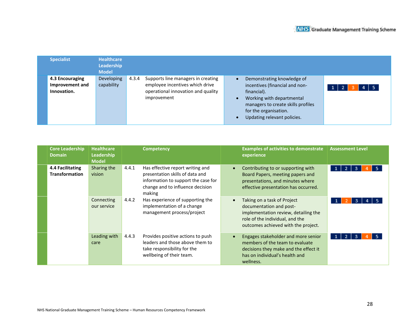| <b>Specialist</b>                                 | <b>Healthcare</b><br>Leadership<br><b>Model</b> |       |                                                                                                                            |                                                                                                                                                                                                        |         |
|---------------------------------------------------|-------------------------------------------------|-------|----------------------------------------------------------------------------------------------------------------------------|--------------------------------------------------------------------------------------------------------------------------------------------------------------------------------------------------------|---------|
| 4.3 Encouraging<br>Improvement and<br>Innovation. | Developing<br>capability                        | 4.3.4 | Supports line managers in creating<br>employee incentives which drive<br>operational innovation and quality<br>improvement | Demonstrating knowledge of<br>incentives (financial and non-<br>financial).<br>Working with departmental<br>managers to create skills profiles<br>for the organisation.<br>Updating relevant policies. | $4$   5 |

| <b>Core Leadership</b><br><b>Domain</b>   | <b>Healthcare</b><br>Leadership<br><b>Model</b> | <b>Competency</b>                                                                                                                                                 | <b>Examples of activities to demonstrate</b><br>experience                                                                                                               | <b>Assessment Level</b>           |
|-------------------------------------------|-------------------------------------------------|-------------------------------------------------------------------------------------------------------------------------------------------------------------------|--------------------------------------------------------------------------------------------------------------------------------------------------------------------------|-----------------------------------|
| 4.4 Facilitating<br><b>Transformation</b> | Sharing the<br>vision                           | 4.4.1<br>Has effective report writing and<br>presentation skills of data and<br>information to support the case for<br>change and to influence decision<br>making | Contributing to or supporting with<br>Board Papers, meeting papers and<br>presentations, and minutes where<br>effective presentation has occurred.                       | -5<br>1 <sup>1</sup><br>-2-1<br>3 |
|                                           | Connecting<br>our service                       | 4.4.2<br>Has experience of supporting the<br>implementation of a change<br>management process/project                                                             | Taking on a task of Project<br>documentation and post-<br>implementation review, detailing the<br>role of the individual, and the<br>outcomes achieved with the project. |                                   |
|                                           | Leading with<br>care                            | 4.4.3<br>Provides positive actions to push<br>leaders and those above them to<br>take responsibility for the<br>wellbeing of their team.                          | Engages stakeholder and more senior<br>members of the team to evaluate<br>decisions they make and the effect it<br>has on individual's health and<br>wellness.           | -5.<br>$\overline{2}$<br>3.       |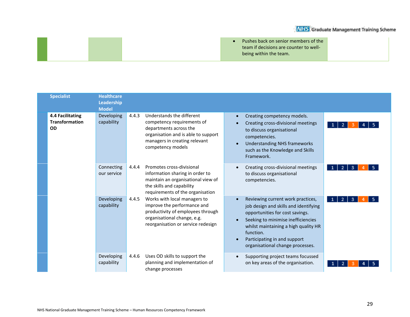| Pushes back on senior members of the   |
|----------------------------------------|
| team if decisions are counter to well- |
| being within the team.                 |

| <b>Specialist</b>                                             | <b>Healthcare</b><br>Leadership<br><b>Model</b> |                                                                                                                                                                                |                                                                                                                                                                                |           |                                                                                                                                                                                                                                                                              |                                     |
|---------------------------------------------------------------|-------------------------------------------------|--------------------------------------------------------------------------------------------------------------------------------------------------------------------------------|--------------------------------------------------------------------------------------------------------------------------------------------------------------------------------|-----------|------------------------------------------------------------------------------------------------------------------------------------------------------------------------------------------------------------------------------------------------------------------------------|-------------------------------------|
| <b>4.4 Facilitating</b><br><b>Transformation</b><br><b>OD</b> | <b>Developing</b><br>capability                 | 4.4.3                                                                                                                                                                          | Understands the different<br>competency requirements of<br>departments across the<br>organisation and is able to support<br>managers in creating relevant<br>competency models | $\bullet$ | Creating competency models.<br>Creating cross-divisional meetings<br>to discuss organisational<br>competencies.<br><b>Understanding NHS frameworks</b><br>such as the Knowledge and Skills<br>Framework.                                                                     | $\overline{2}$<br>$\mathbf{1}$<br>4 |
|                                                               | Connecting<br>our service                       | 4.4.4                                                                                                                                                                          | Promotes cross-divisional<br>information sharing in order to<br>maintain an organisational view of<br>the skills and capability<br>requirements of the organisation            |           | Creating cross-divisional meetings<br>to discuss organisational<br>competencies.                                                                                                                                                                                             | 2 I<br>$\mathbf{1}$<br>3            |
|                                                               | Developing<br>capability                        | Works with local managers to<br>4.4.5<br>improve the performance and<br>productivity of employees through<br>organisational change, e.g.<br>reorganisation or service redesign |                                                                                                                                                                                |           | Reviewing current work practices,<br>job design and skills and identifying<br>opportunities for cost savings.<br>Seeking to minimise inefficiencies<br>whilst maintaining a high quality HR<br>function.<br>Participating in and support<br>organisational change processes. | $\overline{2}$<br>3<br>-1           |
|                                                               | Developing<br>capability                        | 4.4.6                                                                                                                                                                          | Uses OD skills to support the<br>planning and implementation of<br>change processes                                                                                            |           | Supporting project teams focussed<br>on key areas of the organisation.                                                                                                                                                                                                       |                                     |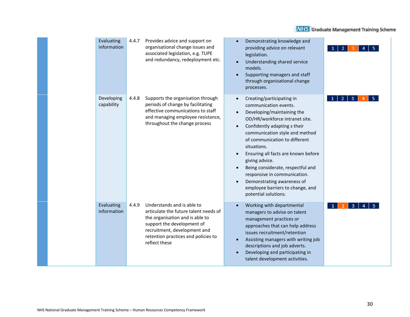| Evaluating<br>information | 4.4.7 | Provides advice and support on<br>organisational change issues and<br>associated legislation, e.g. TUPE<br>and redundancy, redeployment etc.                                                                                 | Demonstrating knowledge and<br>$\bullet$<br>providing advice on relevant<br>legislation.<br>Understanding shared service<br>$\bullet$<br>models.<br>Supporting managers and staff<br>$\bullet$<br>through organisational change<br>processes.                                                                                                                                                                                                                                                                                 |        |
|---------------------------|-------|------------------------------------------------------------------------------------------------------------------------------------------------------------------------------------------------------------------------------|-------------------------------------------------------------------------------------------------------------------------------------------------------------------------------------------------------------------------------------------------------------------------------------------------------------------------------------------------------------------------------------------------------------------------------------------------------------------------------------------------------------------------------|--------|
| Developing<br>capability  | 4.4.8 | Supports the organisation through<br>periods of change by facilitating<br>effective communications to staff<br>and managing employee resistance,<br>throughout the change process                                            | Creating/participating in<br>$\bullet$<br>communication events.<br>Developing/maintaining the<br>$\bullet$<br>OD/HR/workforce intranet site.<br>Confidently adapting s their<br>$\bullet$<br>communication style and method<br>of communication to different<br>situations.<br>Ensuring all facts are known before<br>$\bullet$<br>giving advice.<br>Being considerate, respectful and<br>responsive in communication.<br>Demonstrating awareness of<br>$\bullet$<br>employee barriers to change, and<br>potential solutions. | 2<br>з |
| Evaluating<br>information | 4.4.9 | Understands and is able to<br>articulate the future talent needs of<br>the organisation and is able to<br>support the development of<br>recruitment, development and<br>retention practices and policies to<br>reflect these | Working with departmental<br>$\bullet$<br>managers to advise on talent<br>management practices or<br>approaches that can help address<br>issues recruitment/retention<br>Assisting managers with writing job<br>$\bullet$<br>descriptions and job adverts.<br>Developing and participating in<br>talent development activities.                                                                                                                                                                                               |        |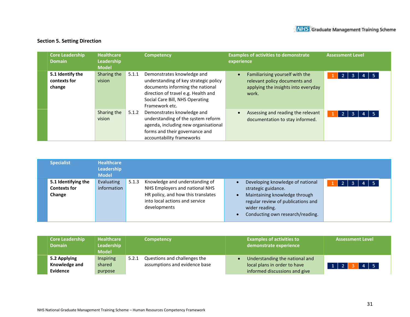#### **Section 5. Setting Direction**

| <b>Core Leadership</b><br><b>Domain</b>    | <b>Healthcare</b><br>Leadership<br><b>Model</b> |       | <b>Competency</b>                                                                                                                                                                                   | <b>Examples of activities to demonstrate</b><br>experience                                                                    | <b>Assessment Level</b> |
|--------------------------------------------|-------------------------------------------------|-------|-----------------------------------------------------------------------------------------------------------------------------------------------------------------------------------------------------|-------------------------------------------------------------------------------------------------------------------------------|-------------------------|
| 5.1 Identify the<br>contexts for<br>change | Sharing the<br>vision                           | 5.1.1 | Demonstrates knowledge and<br>understanding of key strategic policy<br>documents informing the national<br>direction of travel e.g. Health and<br>Social Care Bill, NHS Operating<br>Framework etc. | Familiarising yourself with the<br>$\bullet$<br>relevant policy documents and<br>applying the insights into everyday<br>work. | -5                      |
|                                            | Sharing the<br>vision                           | 5.1.2 | Demonstrates knowledge and<br>understanding of the system reform<br>agenda, including new organisational<br>forms and their governance and<br>accountability frameworks                             | Assessing and reading the relevant<br>$\bullet$<br>documentation to stay informed.                                            | -5<br>2<br>з            |

| <b>Specialist</b>                                    | Healthcare<br>Leadership<br><b>Model</b> |       |                                                                                                                                                          |                                                                                                                                                                                      |   |
|------------------------------------------------------|------------------------------------------|-------|----------------------------------------------------------------------------------------------------------------------------------------------------------|--------------------------------------------------------------------------------------------------------------------------------------------------------------------------------------|---|
| 5.1 Identifying the<br><b>Contexts for</b><br>Change | Evaluating<br>information                | 5.1.3 | Knowledge and understanding of<br>NHS Employers and national NHS<br>HR policy, and how this translates<br>into local actions and service<br>developments | Developing knowledge of national<br>strategic guidance.<br>Maintaining knowledge through<br>regular review of publications and<br>wider reading.<br>Conducting own research/reading. | 2 |

| <b>Core Leadership</b><br><b>Domain</b> | <b>Healthcare</b><br><b>Leadership</b><br><b>Model</b> | <b>Competency</b>                     | <b>Examples of activities to</b><br>demonstrate experience | <b>Assessment Level</b>        |
|-----------------------------------------|--------------------------------------------------------|---------------------------------------|------------------------------------------------------------|--------------------------------|
| 5.2 Applying                            | <b>Inspiring</b>                                       | Questions and challenges the<br>5.2.1 | Understanding the national and                             |                                |
| Knowledge and                           | shared                                                 | assumptions and evidence base         | local plans in order to have                               | $4 \mid 5$<br>$1 \overline{2}$ |
| <b>Evidence</b>                         | purpose                                                |                                       | informed discussions and give                              |                                |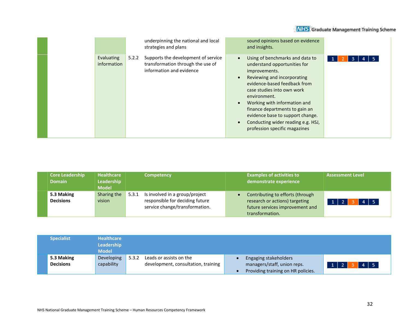| <b>Core Leadership</b> | <b>Healthcare</b> | <b>Competency</b>                       | <b>Examples of activities to</b> | <b>Assessment Level</b> |
|------------------------|-------------------|-----------------------------------------|----------------------------------|-------------------------|
| <b>Domain</b>          | <b>Leadership</b> |                                         | demonstrate experience           |                         |
|                        | <b>Model</b>      |                                         |                                  |                         |
| 5.3 Making             | Sharing the       | Is involved in a group/project<br>5.3.1 | Contributing to efforts (through |                         |
| <b>Decisions</b>       | vision            | responsible for deciding future         | research or actions) targeting   | $4 \mid 5$              |
|                        |                   | service change/transformation.          | future services improvement and  |                         |
|                        |                   |                                         | transformation.                  |                         |

| <b>Specialist</b>              | <b>Healthcare</b><br><b>Leadership</b><br><b>Model</b> |                                                                         |                                                                                            |                              |
|--------------------------------|--------------------------------------------------------|-------------------------------------------------------------------------|--------------------------------------------------------------------------------------------|------------------------------|
| 5.3 Making<br><b>Decisions</b> | Developing<br>capability                               | Leads or assists on the<br>5.3.2<br>development, consultation, training | Engaging stakeholders<br>managers/staff, union reps.<br>Providing training on HR policies. | $4 \mid 5$<br>$\overline{2}$ |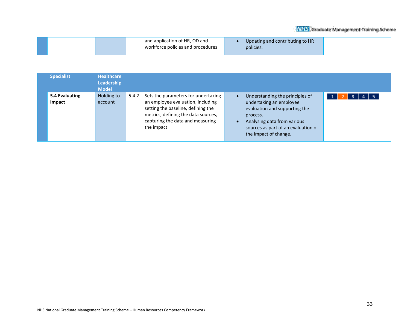| and application of HR, OD and<br>Updating and contributing to HR<br>workforce policies and procedures<br>policies. |
|--------------------------------------------------------------------------------------------------------------------|
|--------------------------------------------------------------------------------------------------------------------|

| <b>Specialist</b>               | <b>Healthcare</b><br><b>Leadership</b><br><b>Model</b> |       |                                                                                                                                                                                                         |           |                                                                                                                                                                                                        |  |
|---------------------------------|--------------------------------------------------------|-------|---------------------------------------------------------------------------------------------------------------------------------------------------------------------------------------------------------|-----------|--------------------------------------------------------------------------------------------------------------------------------------------------------------------------------------------------------|--|
| 5.4 Evaluating<br><b>Impact</b> | Holding to<br>account                                  | 5.4.2 | Sets the parameters for undertaking<br>an employee evaluation, including<br>setting the baseline, defining the<br>metrics, defining the data sources,<br>capturing the data and measuring<br>the impact | $\bullet$ | Understanding the principles of<br>undertaking an employee<br>evaluation and supporting the<br>process.<br>Analysing data from various<br>sources as part of an evaluation of<br>the impact of change. |  |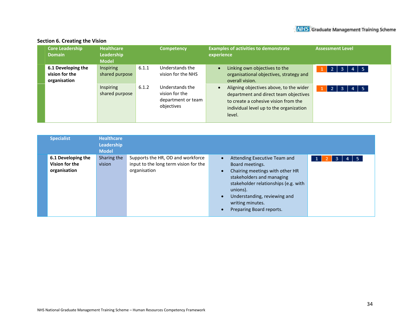| <b>Core Leadership</b><br><b>Domain</b>              | <b>Healthcare</b><br>Leadership<br><b>Model</b> |       | <b>Competency</b>                                                     | <b>Examples of activities to demonstrate</b><br><b>Assessment Level</b><br>experience                                                                                                                             |
|------------------------------------------------------|-------------------------------------------------|-------|-----------------------------------------------------------------------|-------------------------------------------------------------------------------------------------------------------------------------------------------------------------------------------------------------------|
| 6.1 Developing the<br>vision for the<br>organisation | <b>Inspiring</b><br>shared purpose              | 6.1.1 | Understands the<br>vision for the NHS                                 | Linking own objectives to the<br>$\vert$ 5<br>72.<br>з<br>4<br>organisational objectives, strategy and<br>overall vision.                                                                                         |
|                                                      | Inspiring<br>shared purpose                     | 6.1.2 | Understands the<br>vision for the<br>department or team<br>objectives | Aligning objectives above, to the wider<br>$\vert$ 5<br>$\overline{2}$<br>3<br>department and direct team objectives<br>to create a cohesive vision from the<br>individual level up to the organization<br>level. |

#### **Section 6. Creating the Vision**

| <b>Specialist</b>                                    | <b>Healthcare</b><br>Leadership<br><b>Model</b> |                                                                                            |                                                                                                                                                                                                                                                                               |
|------------------------------------------------------|-------------------------------------------------|--------------------------------------------------------------------------------------------|-------------------------------------------------------------------------------------------------------------------------------------------------------------------------------------------------------------------------------------------------------------------------------|
| 6.1 Developing the<br>Vision for the<br>organisation | Sharing the<br>vision                           | Supports the HR, OD and workforce<br>input to the long term vision for the<br>organisation | Attending Executive Team and<br>l 5.<br>$\bullet$<br>3<br>Board meetings.<br>Chairing meetings with other HR<br>stakeholders and managing<br>stakeholder relationships (e.g. with<br>unions).<br>Understanding, reviewing and<br>writing minutes.<br>Preparing Board reports. |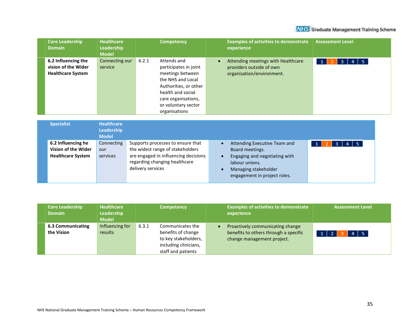| <b>Domain</b> | <b>Core Leadership</b>                                                 | <b>Healthcare</b><br>Leadership<br><b>Model</b> | <b>Competency</b>                                                                                                                                                                                   | <b>Examples of activities to demonstrate</b><br>experience                                  | <b>Assessment Level</b>           |
|---------------|------------------------------------------------------------------------|-------------------------------------------------|-----------------------------------------------------------------------------------------------------------------------------------------------------------------------------------------------------|---------------------------------------------------------------------------------------------|-----------------------------------|
|               | 6.2 Influencing the<br>vision of the Wider<br><b>Healthcare System</b> | Connecting our<br>service                       | 6.2.1<br>Attends and<br>participates in joint<br>meetings between<br>the NHS and Local<br>Authorities, or other<br>health and social<br>care organisations,<br>or voluntary sector<br>organisations | Attending meetings with Healthcare<br>providers outside of own<br>organisation/environment. | $4 \mid 5$<br>-3.<br>$\mathbf{1}$ |

| <b>Specialist</b>                                                     | <b>Healthcare</b><br>Leadership<br><b>Model</b> |                                                                                                                                                                     |                                                                                                                                                            |                 |
|-----------------------------------------------------------------------|-------------------------------------------------|---------------------------------------------------------------------------------------------------------------------------------------------------------------------|------------------------------------------------------------------------------------------------------------------------------------------------------------|-----------------|
| 6.2 Influencing he<br>Vision of the Wider<br><b>Healthcare System</b> | Connecting<br>our<br>services                   | Supports processes to ensure that<br>the widest range of stakeholders<br>are engaged in influencing decisions<br>regarding changing healthcare<br>delivery services | Attending Executive Team and<br>Board meetings.<br>Engaging and negotiating with<br>labour unions.<br>Managing stakeholder<br>engagement in project roles. | $4 \mid 5$<br>3 |

| <b>Core Leadership</b><br><b>Domain</b> | <b>Healthcare</b><br>Leadership<br><b>Model</b> | <b>Competency</b>                                                                                                      | <b>Examples of activities to demonstrate</b><br><b>Assessment Level</b><br>experience                                                         |
|-----------------------------------------|-------------------------------------------------|------------------------------------------------------------------------------------------------------------------------|-----------------------------------------------------------------------------------------------------------------------------------------------|
| <b>6.3 Communicating</b><br>the Vision  | Influencing for<br>results                      | 6.3.1<br>Communicates the<br>benefits of change<br>to key stakeholders,<br>including clinicians,<br>staff and patients | Proactively communicating change<br>benefits to others through a specific<br>$4 \mid 5$<br>1 <sup>1</sup><br>73<br>change management project. |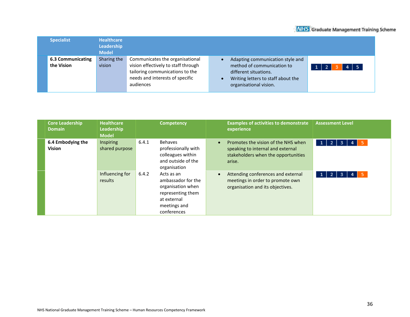| <b>Specialist</b>                      | <b>Healthcare</b><br>Leadership<br><b>Model</b> |                                                                                                                                                           |                                                                                                                                                                       |
|----------------------------------------|-------------------------------------------------|-----------------------------------------------------------------------------------------------------------------------------------------------------------|-----------------------------------------------------------------------------------------------------------------------------------------------------------------------|
| <b>6.3 Communicating</b><br>the Vision | Sharing the<br>vision                           | Communicates the organisational<br>vision effectively to staff through<br>tailoring communications to the<br>needs and interests of specific<br>audiences | Adapting communication style and<br>method of communication to<br>$4 \mid 5$<br>different situations.<br>Writing letters to staff about the<br>organisational vision. |

| <b>Core Leadership</b><br><b>Domain</b> | <b>Healthcare</b><br>Leadership<br><b>Model</b> |       | <b>Competency</b>                                                                                                        | <b>Examples of activities to demonstrate</b><br>experience                                                                | <b>Assessment Level</b>                          |
|-----------------------------------------|-------------------------------------------------|-------|--------------------------------------------------------------------------------------------------------------------------|---------------------------------------------------------------------------------------------------------------------------|--------------------------------------------------|
| 6.4 Embodying the<br><b>Vision</b>      | <b>Inspiring</b><br>shared purpose              | 6.4.1 | <b>Behaves</b><br>professionally with<br>colleagues within<br>and outside of the<br>organisation                         | Promotes the vision of the NHS when<br>speaking to internal and external<br>stakeholders when the opportunities<br>arise. | -5<br>1 <sup>1</sup><br>$\overline{2}$<br>3<br>4 |
|                                         | Influencing for<br>results                      | 6.4.2 | Acts as an<br>ambassador for the<br>organisation when<br>representing them<br>at external<br>meetings and<br>conferences | Attending conferences and external<br>meetings in order to promote own<br>organisation and its objectives.                | -5<br>2<br>3                                     |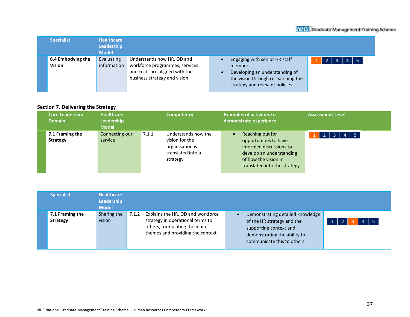| <b>Specialist</b>                  | <b>Healthcare</b><br>Leadership<br><b>Model</b> |                                                                                                                                |                                                                                                                                                     |                                     |
|------------------------------------|-------------------------------------------------|--------------------------------------------------------------------------------------------------------------------------------|-----------------------------------------------------------------------------------------------------------------------------------------------------|-------------------------------------|
| 6.4 Embodying the<br><b>Vision</b> | Evaluating<br>information                       | Understands how HR, OD and<br>workforce programmes, services<br>and costs are aligned with the<br>business strategy and vision | Engaging with senior HR staff<br>members<br>Developing an understanding of<br>the vision through researching the<br>strategy and relevant policies. | $4 \mid 5$<br>$\overline{2}$<br>-3. |

#### **Section 7. Delivering the Strategy**

| <b>Core Leadership</b><br><b>Domain</b> | <b>Healthcare</b><br>Leadership<br><b>Model</b> |       | <b>Competency</b>                                                                         | <b>Examples of activities to</b><br>demonstrate experience                                                                                                             | <b>Assessment Level</b> |
|-----------------------------------------|-------------------------------------------------|-------|-------------------------------------------------------------------------------------------|------------------------------------------------------------------------------------------------------------------------------------------------------------------------|-------------------------|
| 7.1 Framing the<br><b>Strategy</b>      | Connecting our<br>service                       | 7.1.1 | Understands how the<br>vision for the<br>organisation is<br>translated into a<br>strategy | Reaching out for<br>$\bullet$<br>opportunities to have<br>informed discussions to<br>develop an understanding<br>of how the vision in<br>translated into the strategy. | $4 \mid 5$<br>-2        |

| <b>Specialist</b>                  | <b>Healthcare</b><br>Leadership<br><b>Model</b> |       |                                                                                                                                           |                                                                                                                                                         |                |
|------------------------------------|-------------------------------------------------|-------|-------------------------------------------------------------------------------------------------------------------------------------------|---------------------------------------------------------------------------------------------------------------------------------------------------------|----------------|
| 7.1 Framing the<br><b>Strategy</b> | Sharing the<br>vision                           | 7.1.2 | Explains the HR, OD and workforce<br>strategy in operational terms to<br>others, formulating the main<br>themes and providing the context | Demonstrating detailed knowledge<br>of the HR strategy and the<br>supporting context and<br>demonstrating the ability to<br>communicate this to others. | $\overline{4}$ |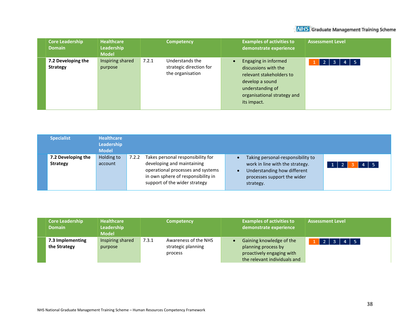| <b>Core Leadership</b><br><b>Domain</b> | <b>Healthcare</b><br><b>Leadership</b><br><b>Model</b> | <b>Competency</b>                                                       | <b>Examples of activities to</b><br>demonstrate experience                                                                                                                 | <b>Assessment Level</b>             |
|-----------------------------------------|--------------------------------------------------------|-------------------------------------------------------------------------|----------------------------------------------------------------------------------------------------------------------------------------------------------------------------|-------------------------------------|
| 7.2 Developing the<br><b>Strategy</b>   | Inspiring shared<br>purpose                            | 7.2.1<br>Understands the<br>strategic direction for<br>the organisation | Engaging in informed<br>$\bullet$<br>discussions with the<br>relevant stakeholders to<br>develop a sound<br>understanding of<br>organisational strategy and<br>its impact. | $4 \mid 5$<br>$\overline{3}$<br>72. |

| <b>Specialist</b>                     | <b>Healthcare</b><br>Leadership<br><b>Model</b> |       |                                                                                                                                                                             |                                                                                                                                                 |            |
|---------------------------------------|-------------------------------------------------|-------|-----------------------------------------------------------------------------------------------------------------------------------------------------------------------------|-------------------------------------------------------------------------------------------------------------------------------------------------|------------|
| 7.2 Developing the<br><b>Strategy</b> | Holding to<br>account                           | 7.2.2 | Takes personal responsibility for<br>developing and maintaining<br>operational processes and systems<br>in own sphere of responsibility in<br>support of the wider strategy | Taking personal-responsibility to<br>work in line with the strategy.<br>Understanding how different<br>processes support the wider<br>strategy. | $4 \mid 5$ |

| <b>Core Leadership</b><br><b>Domain</b> | <b>Healthcare</b><br><b>Leadership</b><br><b>Model</b> | <b>Competency</b>                                              | <b>Examples of activities to</b><br>demonstrate experience                                                   | <b>Assessment Level</b>          |
|-----------------------------------------|--------------------------------------------------------|----------------------------------------------------------------|--------------------------------------------------------------------------------------------------------------|----------------------------------|
| 7.3 Implementing<br>the Strategy        | Inspiring shared<br>purpose                            | 7.3.1<br>Awareness of the NHS<br>strategic planning<br>process | Gaining knowledge of the<br>planning process by<br>proactively engaging with<br>the relevant individuals and | $4 \mid 5$<br>3<br>$\mathcal{D}$ |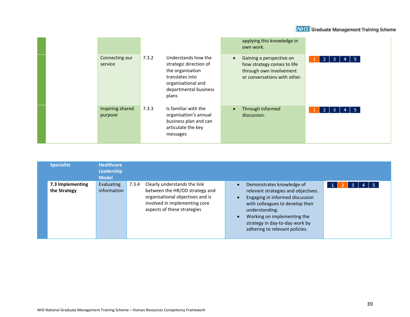|  |                             |       |                                                                                                                                              |           | applying this knowledge in<br>own work.                                                                           |                                    |
|--|-----------------------------|-------|----------------------------------------------------------------------------------------------------------------------------------------------|-----------|-------------------------------------------------------------------------------------------------------------------|------------------------------------|
|  | Connecting our<br>service   | 7.3.2 | Understands how the<br>strategic direction of<br>the organisation<br>translates into<br>organisational and<br>departmental business<br>plans | $\bullet$ | Gaining a perspective on<br>how strategy comes to life<br>through own involvement<br>or conversations with other. | $2 \mid 3$<br>$4 \mid 5$<br>1      |
|  | Inspiring shared<br>purpose | 7.3.3 | Is familiar with the<br>organisation's annual<br>business plan and can<br>articulate the key<br>messages                                     | $\bullet$ | Through informed<br>discussion.                                                                                   | $4 \mid 5$<br>$\overline{2}$<br>-3 |

| <b>Specialist</b>                | <b>Healthcare</b><br><b>Leadership</b><br><b>Model</b> |       |                                                                                                                                                                    |                                                                                                                                                                                                                                                              |  |
|----------------------------------|--------------------------------------------------------|-------|--------------------------------------------------------------------------------------------------------------------------------------------------------------------|--------------------------------------------------------------------------------------------------------------------------------------------------------------------------------------------------------------------------------------------------------------|--|
| 7.3 Implementing<br>the Strategy | Evaluating<br>information                              | 7.3.4 | Clearly understands the link<br>between the HR/OD strategy and<br>organisational objectives and is<br>involved in implementing core<br>aspects of these strategies | Demonstrates knowledge of<br>relevant strategies and objectives.<br>Engaging in informed discussion<br>with colleagues to develop their<br>understanding.<br>Working on implementing the<br>strategy in day-to-day work by<br>adhering to relevant policies. |  |